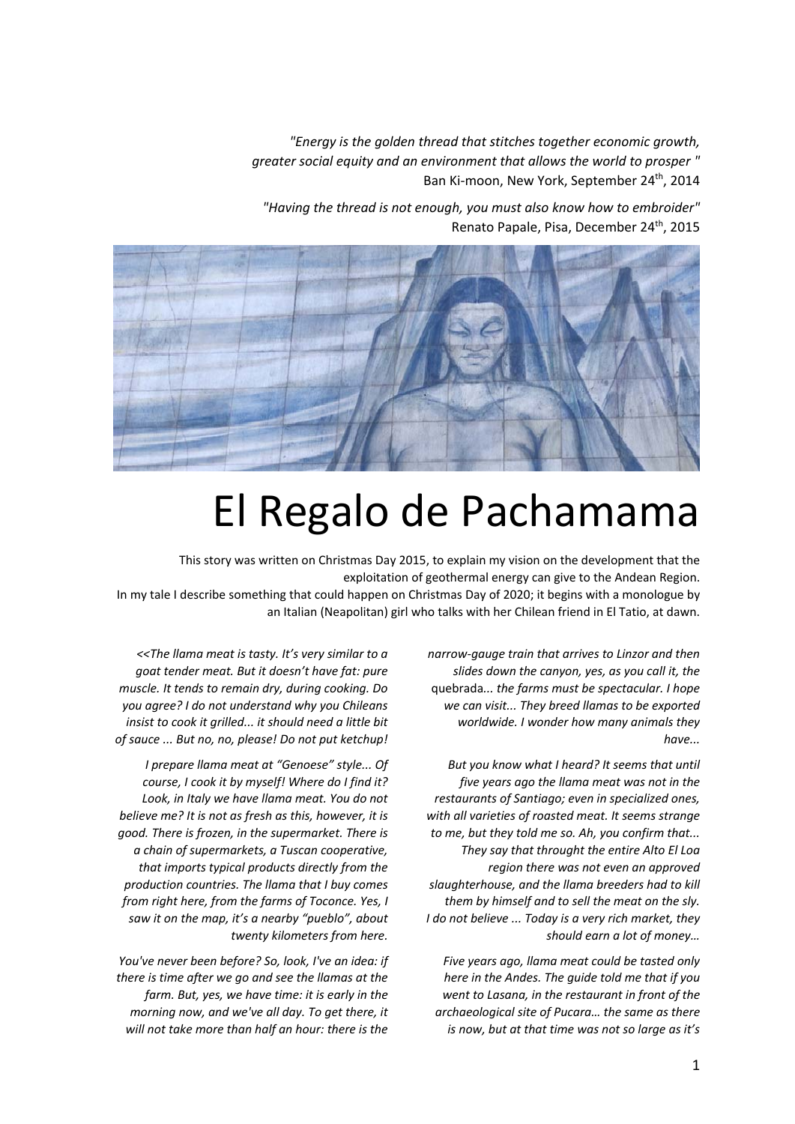*"Energy is the golden thread that stitches together economic growth, greater social equity and an environment that allows the world to prosper "*  Ban Ki-moon, New York, September 24<sup>th</sup>, 2014

*"Having the thread is not enough, you must also know how to embroider"*  Renato Papale, Pisa, December 24<sup>th</sup>, 2015

## El Regalo de Pachamama

This story was written on Christmas Day 2015, to explain my vision on the development that the exploitation of geothermal energy can give to the Andean Region. In my tale I describe something that could happen on Christmas Day of 2020; it begins with a monologue by an Italian (Neapolitan) girl who talks with her Chilean friend in El Tatio, at dawn.

> *narrow‐gauge train that arrives to Linzor and then slides down the canyon, yes, as you call it, the*  quebrada*... the farms must be spectacular. I hope we can visit... They breed llamas to be exported worldwide. I wonder how many animals they have...*

*But you know what I heard? It seems that until five years ago the llama meat was not in the restaurants of Santiago; even in specialized ones, with all varieties of roasted meat. It seems strange to me, but they told me so. Ah, you confirm that... They say that throught the entire Alto El Loa region there was not even an approved slaughterhouse, and the llama breeders had to kill them by himself and to sell the meat on the sly. I do not believe ... Today is a very rich market, they should earn a lot of money…* 

*Five years ago, llama meat could be tasted only here in the Andes. The guide told me that if you went to Lasana, in the restaurant in front of the archaeological site of Pucara… the same as there is now, but at that time was not so large as it's* 

*<<The llama meat is tasty. It's very similar to a goat tender meat. But it doesn't have fat: pure muscle. It tends to remain dry, during cooking. Do you agree? I do not understand why you Chileans insist to cook it grilled... it should need a little bit of sauce ... But no, no, please! Do not put ketchup!* 

*I prepare llama meat at "Genoese" style... Of course, I cook it by myself! Where do I find it? Look, in Italy we have llama meat. You do not believe me? It is not as fresh as this, however, it is good. There is frozen, in the supermarket. There is a chain of supermarkets, a Tuscan cooperative, that imports typical products directly from the production countries. The llama that I buy comes from right here, from the farms of Toconce. Yes, I saw it on the map, it's a nearby "pueblo", about twenty kilometers from here.* 

*You've never been before? So, look, I've an idea: if there is time after we go and see the llamas at the farm. But, yes, we have time: it is early in the morning now, and we've all day. To get there, it will not take more than half an hour: there is the*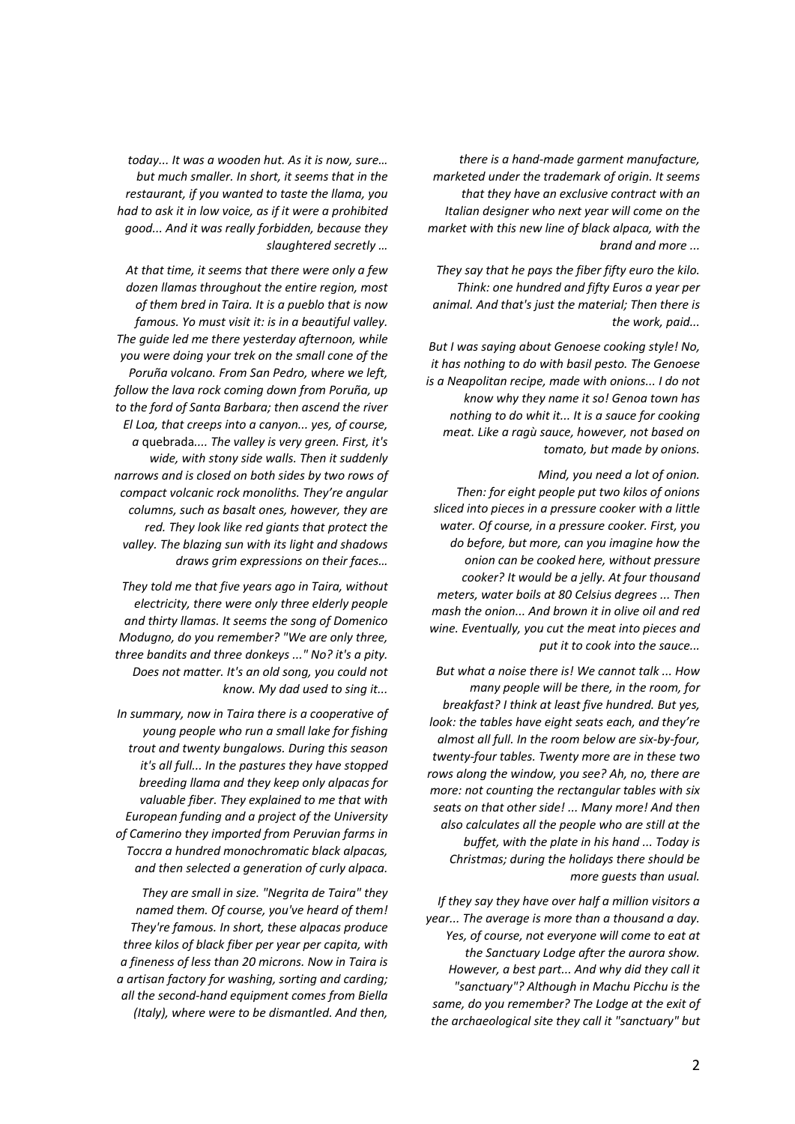*there is a hand‐made garment manufacture, marketed under the trademark of origin. It seems that they have an exclusive contract with an Italian designer who next year will come on the market with this new line of black alpaca, with the brand and more ...* 

*They say that he pays the fiber fifty euro the kilo. Think: one hundred and fifty Euros a year per animal. And that's just the material; Then there is the work, paid...* 

*But I was saying about Genoese cooking style! No, it has nothing to do with basil pesto. The Genoese is a Neapolitan recipe, made with onions... I do not know why they name it so! Genoa town has nothing to do whit it... It is a sauce for cooking meat. Like a ragù sauce, however, not based on tomato, but made by onions.* 

*Mind, you need a lot of onion. Then: for eight people put two kilos of onions sliced into pieces in a pressure cooker with a little water. Of course, in a pressure cooker. First, you do before, but more, can you imagine how the onion can be cooked here, without pressure cooker? It would be a jelly. At four thousand meters, water boils at 80 Celsius degrees ... Then mash the onion... And brown it in olive oil and red wine. Eventually, you cut the meat into pieces and put it to cook into the sauce...* 

*But what a noise there is! We cannot talk ... How many people will be there, in the room, for breakfast? I think at least five hundred. But yes, look: the tables have eight seats each, and they're almost all full. In the room below are six‐by‐four, twenty‐four tables. Twenty more are in these two rows along the window, you see? Ah, no, there are more: not counting the rectangular tables with six seats on that other side! ... Many more! And then also calculates all the people who are still at the buffet, with the plate in his hand ... Today is Christmas; during the holidays there should be more guests than usual.* 

*If they say they have over half a million visitors a year... The average is more than a thousand a day. Yes, of course, not everyone will come to eat at the Sanctuary Lodge after the aurora show. However, a best part... And why did they call it "sanctuary"? Although in Machu Picchu is the same, do you remember? The Lodge at the exit of the archaeological site they call it "sanctuary" but* 

*today... It was a wooden hut. As it is now, sure… but much smaller. In short, it seems that in the restaurant, if you wanted to taste the llama, you had to ask it in low voice, as if it were a prohibited good... And it was really forbidden, because they slaughtered secretly …* 

*At that time, it seems that there were only a few dozen llamas throughout the entire region, most of them bred in Taira. It is a pueblo that is now famous. Yo must visit it: is in a beautiful valley. The guide led me there yesterday afternoon, while you were doing your trek on the small cone of the Poruña volcano. From San Pedro, where we left, follow the lava rock coming down from Poruña, up to the ford of Santa Barbara; then ascend the river El Loa, that creeps into a canyon... yes, of course, a* quebrada*.... The valley is very green. First, it's wide, with stony side walls. Then it suddenly narrows and is closed on both sides by two rows of compact volcanic rock monoliths. They're angular columns, such as basalt ones, however, they are red. They look like red giants that protect the valley. The blazing sun with its light and shadows draws grim expressions on their faces…* 

*They told me that five years ago in Taira, without electricity, there were only three elderly people and thirty llamas. It seems the song of Domenico Modugno, do you remember? "We are only three, three bandits and three donkeys ..." No? it's a pity. Does not matter. It's an old song, you could not know. My dad used to sing it...* 

*In summary, now in Taira there is a cooperative of young people who run a small lake for fishing trout and twenty bungalows. During this season it's all full... In the pastures they have stopped breeding llama and they keep only alpacas for valuable fiber. They explained to me that with European funding and a project of the University of Camerino they imported from Peruvian farms in Toccra a hundred monochromatic black alpacas, and then selected a generation of curly alpaca.* 

*They are small in size. "Negrita de Taira" they named them. Of course, you've heard of them! They're famous. In short, these alpacas produce three kilos of black fiber per year per capita, with a fineness of less than 20 microns. Now in Taira is a artisan factory for washing, sorting and carding; all the second‐hand equipment comes from Biella (Italy), where were to be dismantled. And then,*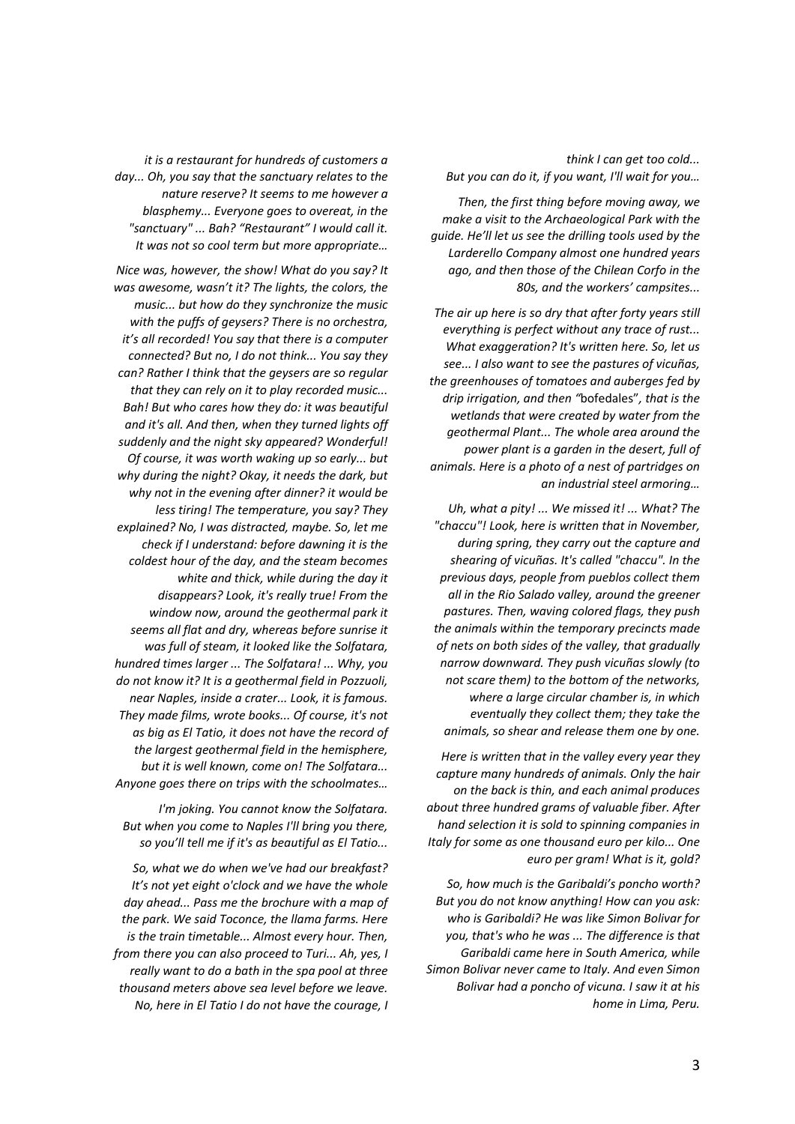*think I can get too cold... But you can do it, if you want, I'll wait for you…* 

*Then, the first thing before moving away, we make a visit to the Archaeological Park with the guide. He'll let us see the drilling tools used by the Larderello Company almost one hundred years ago, and then those of the Chilean Corfo in the 80s, and the workers' campsites...* 

*The air up here is so dry that after forty years still everything is perfect without any trace of rust... What exaggeration? It's written here. So, let us see... I also want to see the pastures of vicuñas, the greenhouses of tomatoes and auberges fed by drip irrigation, and then "*bofedales"*, that is the wetlands that were created by water from the geothermal Plant... The whole area around the power plant is a garden in the desert, full of animals. Here is a photo of a nest of partridges on an industrial steel armoring…* 

*Uh, what a pity! ... We missed it! ... What? The "chaccu"! Look, here is written that in November, during spring, they carry out the capture and shearing of vicuñas. It's called "chaccu". In the previous days, people from pueblos collect them all in the Rio Salado valley, around the greener pastures. Then, waving colored flags, they push the animals within the temporary precincts made of nets on both sides of the valley, that gradually narrow downward. They push vicuñas slowly (to not scare them) to the bottom of the networks, where a large circular chamber is, in which eventually they collect them; they take the animals, so shear and release them one by one.* 

*Here is written that in the valley every year they capture many hundreds of animals. Only the hair on the back is thin, and each animal produces about three hundred grams of valuable fiber. After hand selection it is sold to spinning companies in Italy for some as one thousand euro per kilo... One euro per gram! What is it, gold?* 

*So, how much is the Garibaldi's poncho worth? But you do not know anything! How can you ask: who is Garibaldi? He was like Simon Bolivar for you, that's who he was ... The difference is that Garibaldi came here in South America, while Simon Bolivar never came to Italy. And even Simon Bolivar had a poncho of vicuna. I saw it at his home in Lima, Peru.* 

*it is a restaurant for hundreds of customers a day... Oh, you say that the sanctuary relates to the nature reserve? It seems to me however a blasphemy... Everyone goes to overeat, in the "sanctuary" ... Bah? "Restaurant" I would call it. It was not so cool term but more appropriate…* 

*Nice was, however, the show! What do you say? It was awesome, wasn't it? The lights, the colors, the music... but how do they synchronize the music with the puffs of geysers? There is no orchestra, it's all recorded! You say that there is a computer connected? But no, I do not think... You say they can? Rather I think that the geysers are so regular that they can rely on it to play recorded music... Bah! But who cares how they do: it was beautiful and it's all. And then, when they turned lights off suddenly and the night sky appeared? Wonderful! Of course, it was worth waking up so early... but why during the night? Okay, it needs the dark, but why not in the evening after dinner? it would be less tiring! The temperature, you say? They explained? No, I was distracted, maybe. So, let me check if I understand: before dawning it is the coldest hour of the day, and the steam becomes white and thick, while during the day it disappears? Look, it's really true! From the window now, around the geothermal park it seems all flat and dry, whereas before sunrise it was full of steam, it looked like the Solfatara, hundred times larger ... The Solfatara! ... Why, you do not know it? It is a geothermal field in Pozzuoli, near Naples, inside a crater... Look, it is famous. They made films, wrote books... Of course, it's not as big as El Tatio, it does not have the record of the largest geothermal field in the hemisphere, but it is well known, come on! The Solfatara... Anyone goes there on trips with the schoolmates…* 

*I'm joking. You cannot know the Solfatara. But when you come to Naples I'll bring you there, so you'll tell me if it's as beautiful as El Tatio...* 

*So, what we do when we've had our breakfast? It's not yet eight o'clock and we have the whole day ahead... Pass me the brochure with a map of the park. We said Toconce, the llama farms. Here is the train timetable... Almost every hour. Then, from there you can also proceed to Turi... Ah, yes, I really want to do a bath in the spa pool at three thousand meters above sea level before we leave. No, here in El Tatio I do not have the courage, I*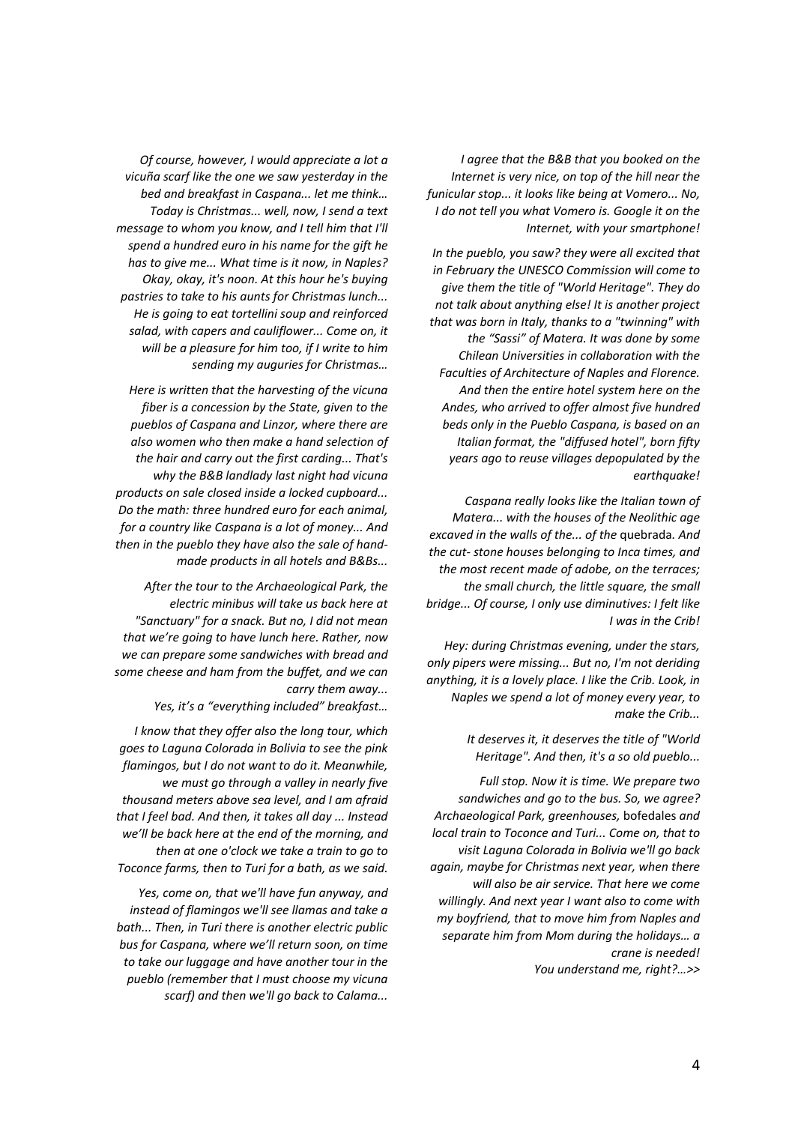*I agree that the B&B that you booked on the Internet is very nice, on top of the hill near the funicular stop... it looks like being at Vomero... No, I do not tell you what Vomero is. Google it on the Internet, with your smartphone!* 

*In the pueblo, you saw? they were all excited that in February the UNESCO Commission will come to give them the title of "World Heritage". They do not talk about anything else! It is another project that was born in Italy, thanks to a "twinning" with the "Sassi" of Matera. It was done by some Chilean Universities in collaboration with the Faculties of Architecture of Naples and Florence. And then the entire hotel system here on the Andes, who arrived to offer almost five hundred beds only in the Pueblo Caspana, is based on an Italian format, the "diffused hotel", born fifty years ago to reuse villages depopulated by the earthquake!* 

*Caspana really looks like the Italian town of Matera... with the houses of the Neolithic age excaved in the walls of the... of the* quebrada*. And the cut‐ stone houses belonging to Inca times, and the most recent made of adobe, on the terraces; the small church, the little square, the small bridge... Of course, I only use diminutives: I felt like I was in the Crib!* 

*Hey: during Christmas evening, under the stars, only pipers were missing... But no, I'm not deriding anything, it is a lovely place. I like the Crib. Look, in Naples we spend a lot of money every year, to make the Crib...* 

> *It deserves it, it deserves the title of "World Heritage". And then, it's a so old pueblo...*

*Full stop. Now it is time. We prepare two sandwiches and go to the bus. So, we agree? Archaeological Park, greenhouses,* bofedales *and local train to Toconce and Turi... Come on, that to visit Laguna Colorada in Bolivia we'll go back again, maybe for Christmas next year, when there will also be air service. That here we come willingly. And next year I want also to come with my boyfriend, that to move him from Naples and separate him from Mom during the holidays… a crane is needed!* 

*You understand me, right?…>>* 

*Of course, however, I would appreciate a lot a vicuña scarf like the one we saw yesterday in the bed and breakfast in Caspana... let me think… Today is Christmas... well, now, I send a text message to whom you know, and I tell him that I'll spend a hundred euro in his name for the gift he has to give me... What time is it now, in Naples? Okay, okay, it's noon. At this hour he's buying pastries to take to his aunts for Christmas lunch... He is going to eat tortellini soup and reinforced salad, with capers and cauliflower... Come on, it will be a pleasure for him too, if I write to him sending my auguries for Christmas…* 

*Here is written that the harvesting of the vicuna fiber is a concession by the State, given to the pueblos of Caspana and Linzor, where there are also women who then make a hand selection of the hair and carry out the first carding... That's why the B&B landlady last night had vicuna products on sale closed inside a locked cupboard... Do the math: three hundred euro for each animal, for a country like Caspana is a lot of money... And then in the pueblo they have also the sale of hand‐ made products in all hotels and B&Bs...* 

*After the tour to the Archaeological Park, the electric minibus will take us back here at "Sanctuary" for a snack. But no, I did not mean that we're going to have lunch here. Rather, now we can prepare some sandwiches with bread and some cheese and ham from the buffet, and we can carry them away...* 

*Yes, it's a "everything included" breakfast…* 

*I know that they offer also the long tour, which goes to Laguna Colorada in Bolivia to see the pink flamingos, but I do not want to do it. Meanwhile, we must go through a valley in nearly five thousand meters above sea level, and I am afraid that I feel bad. And then, it takes all day ... Instead we'll be back here at the end of the morning, and then at one o'clock we take a train to go to Toconce farms, then to Turi for a bath, as we said.* 

*Yes, come on, that we'll have fun anyway, and instead of flamingos we'll see llamas and take a bath... Then, in Turi there is another electric public bus for Caspana, where we'll return soon, on time to take our luggage and have another tour in the pueblo (remember that I must choose my vicuna scarf) and then we'll go back to Calama...*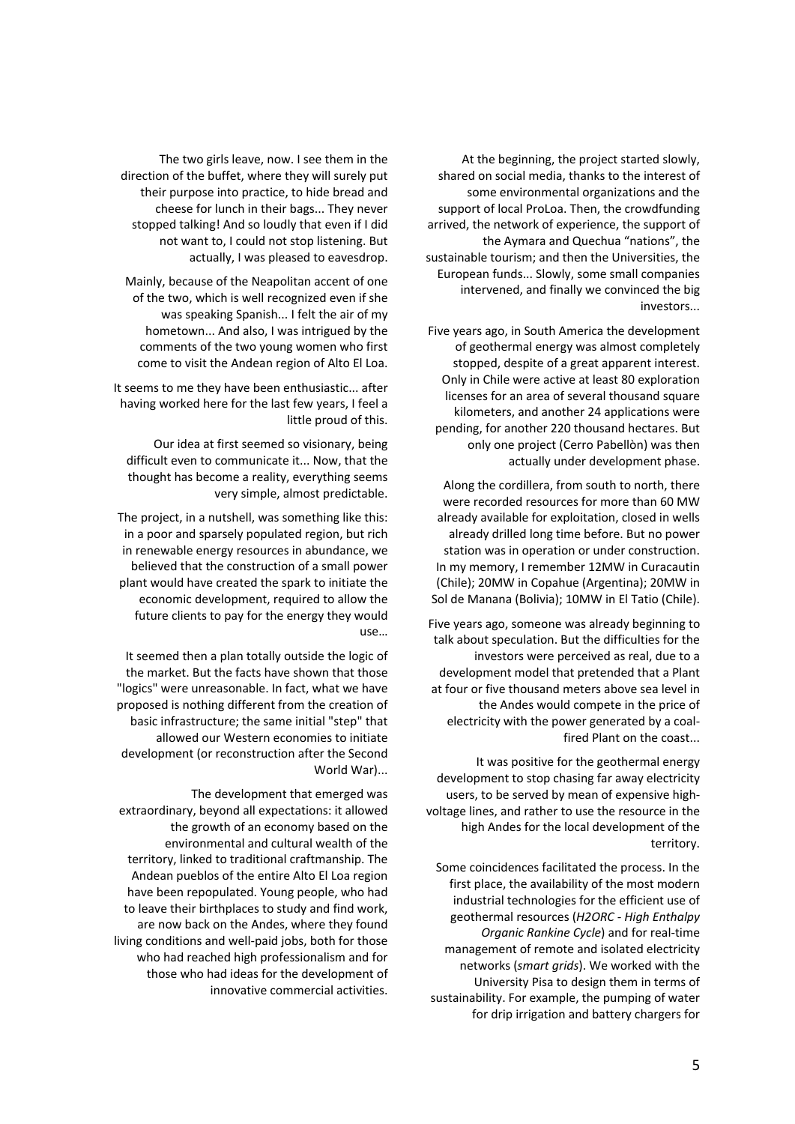At the beginning, the project started slowly, shared on social media, thanks to the interest of some environmental organizations and the support of local ProLoa. Then, the crowdfunding arrived, the network of experience, the support of the Aymara and Quechua "nations", the sustainable tourism; and then the Universities, the European funds... Slowly, some small companies intervened, and finally we convinced the big investors...

Five years ago, in South America the development of geothermal energy was almost completely stopped, despite of a great apparent interest. Only in Chile were active at least 80 exploration licenses for an area of several thousand square kilometers, and another 24 applications were pending, for another 220 thousand hectares. But only one project (Cerro Pabellòn) was then actually under development phase.

Along the cordillera, from south to north, there were recorded resources for more than 60 MW already available for exploitation, closed in wells already drilled long time before. But no power station was in operation or under construction. In my memory, I remember 12MW in Curacautin (Chile); 20MW in Copahue (Argentina); 20MW in Sol de Manana (Bolivia); 10MW in El Tatio (Chile).

Five years ago, someone was already beginning to talk about speculation. But the difficulties for the investors were perceived as real, due to a development model that pretended that a Plant at four or five thousand meters above sea level in the Andes would compete in the price of electricity with the power generated by a coal‐ fired Plant on the coast...

It was positive for the geothermal energy development to stop chasing far away electricity users, to be served by mean of expensive high‐ voltage lines, and rather to use the resource in the high Andes for the local development of the territory.

Some coincidences facilitated the process. In the first place, the availability of the most modern industrial technologies for the efficient use of geothermal resources (*H2ORC ‐ High Enthalpy Organic Rankine Cycle*) and for real‐time management of remote and isolated electricity networks (*smart grids*). We worked with the University Pisa to design them in terms of sustainability. For example, the pumping of water for drip irrigation and battery chargers for

The two girls leave, now. I see them in the direction of the buffet, where they will surely put their purpose into practice, to hide bread and cheese for lunch in their bags... They never stopped talking! And so loudly that even if I did not want to, I could not stop listening. But actually, I was pleased to eavesdrop.

Mainly, because of the Neapolitan accent of one of the two, which is well recognized even if she was speaking Spanish... I felt the air of my hometown... And also, I was intrigued by the comments of the two young women who first come to visit the Andean region of Alto El Loa.

It seems to me they have been enthusiastic... after having worked here for the last few years, I feel a little proud of this.

Our idea at first seemed so visionary, being difficult even to communicate it... Now, that the thought has become a reality, everything seems very simple, almost predictable.

The project, in a nutshell, was something like this: in a poor and sparsely populated region, but rich in renewable energy resources in abundance, we believed that the construction of a small power plant would have created the spark to initiate the economic development, required to allow the future clients to pay for the energy they would use…

It seemed then a plan totally outside the logic of the market. But the facts have shown that those "logics" were unreasonable. In fact, what we have proposed is nothing different from the creation of basic infrastructure; the same initial "step" that allowed our Western economies to initiate development (or reconstruction after the Second World War)...

The development that emerged was extraordinary, beyond all expectations: it allowed the growth of an economy based on the environmental and cultural wealth of the territory, linked to traditional craftmanship. The Andean pueblos of the entire Alto El Loa region have been repopulated. Young people, who had to leave their birthplaces to study and find work, are now back on the Andes, where they found living conditions and well‐paid jobs, both for those who had reached high professionalism and for those who had ideas for the development of innovative commercial activities.